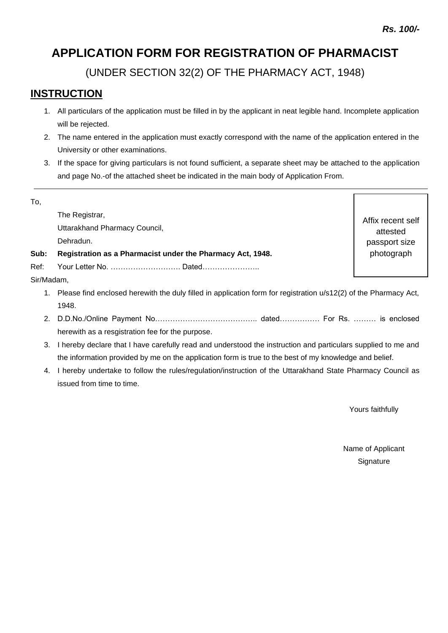# **APPLICATION FORM FOR REGISTRATION OF PHARMACIST**

(UNDER SECTION 32(2) OF THE PHARMACY ACT, 1948)

## **INSTRUCTION**

- 1. All particulars of the application must be filled in by the applicant in neat legible hand. Incomplete application will be rejected.
- 2. The name entered in the application must exactly correspond with the name of the application entered in the University or other examinations.
- 3. If the space for giving particulars is not found sufficient, a separate sheet may be attached to the application and page No.-of the attached sheet be indicated in the main body of Application From.

| To,        |                                                                                                                     |                   |  |  |  |
|------------|---------------------------------------------------------------------------------------------------------------------|-------------------|--|--|--|
|            | The Registrar,                                                                                                      | Affix recent self |  |  |  |
|            | Uttarakhand Pharmacy Council,                                                                                       | attested          |  |  |  |
|            | Dehradun.                                                                                                           | passport size     |  |  |  |
| Sub:       | Registration as a Pharmacist under the Pharmacy Act, 1948.                                                          | photograph        |  |  |  |
| Ref:       | Your Letter No.  Dated                                                                                              |                   |  |  |  |
| Sir/Madam, |                                                                                                                     |                   |  |  |  |
|            | 1. Please find enclosed herewith the duly filled in application form for registration u/s12(2) of the Pharmacy Act, |                   |  |  |  |
|            | 1948.                                                                                                               |                   |  |  |  |
|            |                                                                                                                     |                   |  |  |  |
|            | herewith as a resgistration fee for the purpose.                                                                    |                   |  |  |  |
| 3.         | I hereby declare that I have carefully read and understood the instruction and particulars supplied to me and       |                   |  |  |  |
|            | the information provided by me on the application form is true to the best of my knowledge and belief.              |                   |  |  |  |

4. I hereby undertake to follow the rules/regulation/instruction of the Uttarakhand State Pharmacy Council as issued from time to time.

Yours faithfully

Name of Applicant **Signature**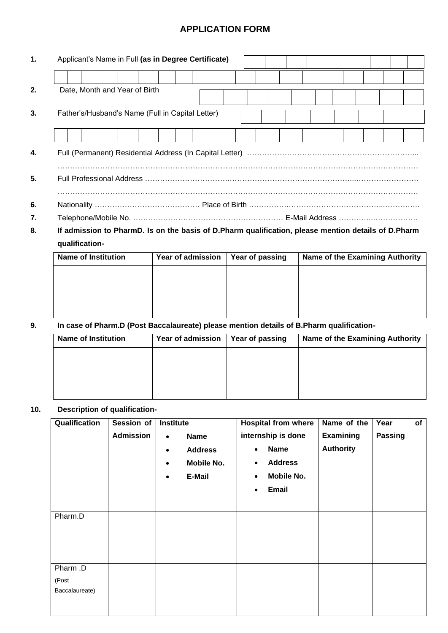### **APPLICATION FORM**

| 1. | Applicant's Name in Full (as in Degree Certificate) |  |  |  |  |  |  |
|----|-----------------------------------------------------|--|--|--|--|--|--|
|    |                                                     |  |  |  |  |  |  |
| 2. | Date, Month and Year of Birth                       |  |  |  |  |  |  |
| 3. | Father's/Husband's Name (Full in Capital Letter)    |  |  |  |  |  |  |
|    |                                                     |  |  |  |  |  |  |
| 4. |                                                     |  |  |  |  |  |  |
| 5. |                                                     |  |  |  |  |  |  |
| 6. |                                                     |  |  |  |  |  |  |
| 7. |                                                     |  |  |  |  |  |  |

**8. If admission to PharmD. Is on the basis of D.Pharm qualification, please mention details of D.Pharm qualification-**

| <b>Name of Institution</b> | Year of admission | Year of passing | <b>Name of the Examining Authority</b> |  |  |
|----------------------------|-------------------|-----------------|----------------------------------------|--|--|
|                            |                   |                 |                                        |  |  |
|                            |                   |                 |                                        |  |  |
|                            |                   |                 |                                        |  |  |
|                            |                   |                 |                                        |  |  |

#### **9. In case of Pharm.D (Post Baccalaureate) please mention details of B.Pharm qualification-**

| <b>Name of Institution</b> | Year of admission | Year of passing | <b>Name of the Examining Authority</b> |  |  |
|----------------------------|-------------------|-----------------|----------------------------------------|--|--|
|                            |                   |                 |                                        |  |  |
|                            |                   |                 |                                        |  |  |
|                            |                   |                 |                                        |  |  |
|                            |                   |                 |                                        |  |  |

#### **10. Description of qualification-**

| Qualification                       | Session of<br><b>Admission</b> | <b>Institute</b><br><b>Name</b><br>$\bullet$<br><b>Address</b><br>$\bullet$<br>Mobile No.<br>$\bullet$<br>E-Mail<br>$\bullet$ | <b>Hospital from where</b><br>internship is done<br><b>Name</b><br>$\bullet$<br><b>Address</b><br>$\bullet$<br>Mobile No.<br>$\bullet$<br><b>Email</b><br>$\bullet$ | Name of the<br>Examining<br><b>Authority</b> | Year<br>of<br><b>Passing</b> |
|-------------------------------------|--------------------------------|-------------------------------------------------------------------------------------------------------------------------------|---------------------------------------------------------------------------------------------------------------------------------------------------------------------|----------------------------------------------|------------------------------|
| Pharm.D                             |                                |                                                                                                                               |                                                                                                                                                                     |                                              |                              |
| Pharm .D<br>(Post<br>Baccalaureate) |                                |                                                                                                                               |                                                                                                                                                                     |                                              |                              |